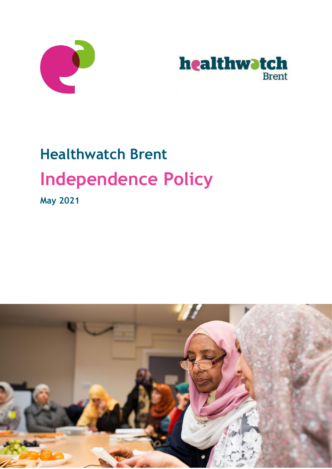



# **Healthwatch Brent Independence Policy**

**May 2021**

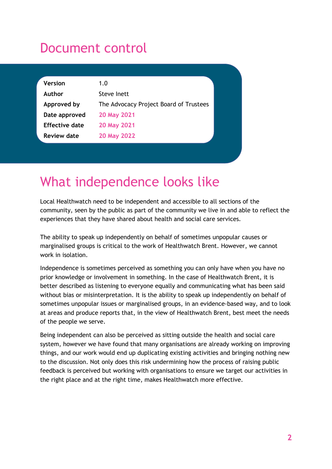#### Document control

| <b>Version</b>        | 1.0                                    |
|-----------------------|----------------------------------------|
| Author                | Steve Inett                            |
| Approved by           | The Advocacy Project Board of Trustees |
| Date approved         | 20 May 2021                            |
| <b>Effective date</b> | 20 May 2021                            |
| <b>Review date</b>    | 20 May 2022                            |

#### What independence looks like

Local Healthwatch need to be independent and accessible to all sections of the community, seen by the public as part of the community we live in and able to reflect the experiences that they have shared about health and social care services.

The ability to speak up independently on behalf of sometimes unpopular causes or marginalised groups is critical to the work of Healthwatch Brent. However, we cannot work in isolation.

Independence is sometimes perceived as something you can only have when you have no prior knowledge or involvement in something. In the case of Healthwatch Brent, it is better described as listening to everyone equally and communicating what has been said without bias or misinterpretation. It is the ability to speak up independently on behalf of sometimes unpopular issues or marginalised groups, in an evidence-based way, and to look at areas and produce reports that, in the view of Healthwatch Brent, best meet the needs of the people we serve.

Being independent can also be perceived as sitting outside the health and social care system, however we have found that many organisations are already working on improving things, and our work would end up duplicating existing activities and bringing nothing new to the discussion. Not only does this risk undermining how the process of raising public feedback is perceived but working with organisations to ensure we target our activities in the right place and at the right time, makes Healthwatch more effective.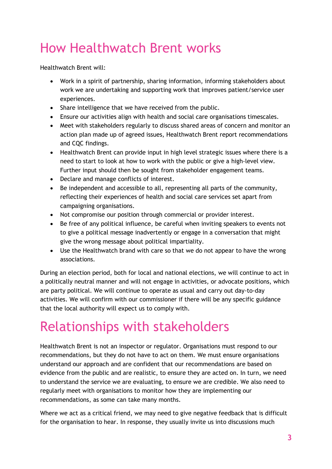## How Healthwatch Brent works

Healthwatch Brent will:

- Work in a spirit of partnership, sharing information, informing stakeholders about work we are undertaking and supporting work that improves patient/service user experiences.
- Share intelligence that we have received from the public.
- Ensure our activities align with health and social care organisations timescales.
- Meet with stakeholders regularly to discuss shared areas of concern and monitor an action plan made up of agreed issues, Healthwatch Brent report recommendations and CQC findings.
- Healthwatch Brent can provide input in high level strategic issues where there is a need to start to look at how to work with the public or give a high-level view. Further input should then be sought from stakeholder engagement teams.
- Declare and manage conflicts of interest.
- Be independent and accessible to all, representing all parts of the community, reflecting their experiences of health and social care services set apart from campaigning organisations.
- Not compromise our position through commercial or provider interest.
- Be free of any political influence, be careful when inviting speakers to events not to give a political message inadvertently or engage in a conversation that might give the wrong message about political impartiality.
- Use the Healthwatch brand with care so that we do not appear to have the wrong associations.

During an election period, both for local and national elections, we will continue to act in a politically neutral manner and will not engage in activities, or advocate positions, which are party political. We will continue to operate as usual and carry out day-to-day activities. We will confirm with our commissioner if there will be any specific guidance that the local authority will expect us to comply with.

### Relationships with stakeholders

Healthwatch Brent is not an inspector or regulator. Organisations must respond to our recommendations, but they do not have to act on them. We must ensure organisations understand our approach and are confident that our recommendations are based on evidence from the public and are realistic, to ensure they are acted on. In turn, we need to understand the service we are evaluating, to ensure we are credible. We also need to regularly meet with organisations to monitor how they are implementing our recommendations, as some can take many months.

Where we act as a critical friend, we may need to give negative feedback that is difficult for the organisation to hear. In response, they usually invite us into discussions much